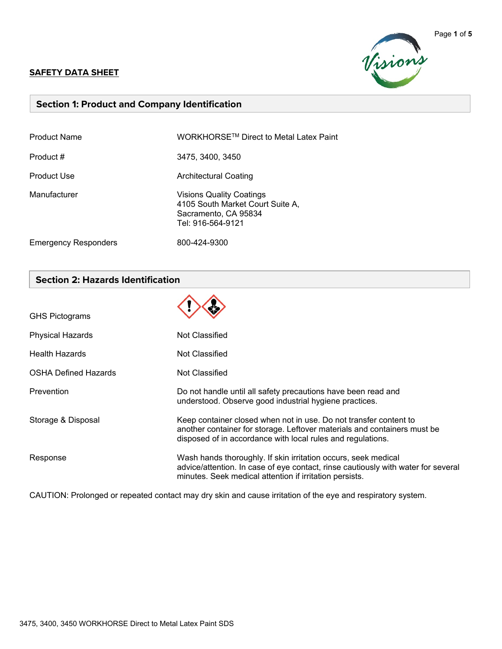#### **SAFETY DATA SHEET**



## **Section 1: Product and Company Identification**

| <b>Product Name</b>         | WORKHORSE <sup>™</sup> Direct to Metal Latex Paint                                                               |
|-----------------------------|------------------------------------------------------------------------------------------------------------------|
| Product #                   | 3475, 3400, 3450                                                                                                 |
| Product Use                 | Architectural Coating                                                                                            |
| Manufacturer                | <b>Visions Quality Coatings</b><br>4105 South Market Court Suite A,<br>Sacramento, CA 95834<br>Tel: 916-564-9121 |
| <b>Emergency Responders</b> | 800-424-9300                                                                                                     |

### **Section 2: Hazards Identification**

| <b>GHS Pictograms</b>       |                                                                                                                                                                                                                |
|-----------------------------|----------------------------------------------------------------------------------------------------------------------------------------------------------------------------------------------------------------|
| <b>Physical Hazards</b>     | Not Classified                                                                                                                                                                                                 |
| <b>Health Hazards</b>       | Not Classified                                                                                                                                                                                                 |
| <b>OSHA Defined Hazards</b> | Not Classified                                                                                                                                                                                                 |
| Prevention                  | Do not handle until all safety precautions have been read and<br>understood. Observe good industrial hygiene practices.                                                                                        |
| Storage & Disposal          | Keep container closed when not in use. Do not transfer content to<br>another container for storage. Leftover materials and containers must be<br>disposed of in accordance with local rules and regulations.   |
| Response                    | Wash hands thoroughly. If skin irritation occurs, seek medical<br>advice/attention. In case of eye contact, rinse cautiously with water for several<br>minutes. Seek medical attention if irritation persists. |

CAUTION: Prolonged or repeated contact may dry skin and cause irritation of the eye and respiratory system.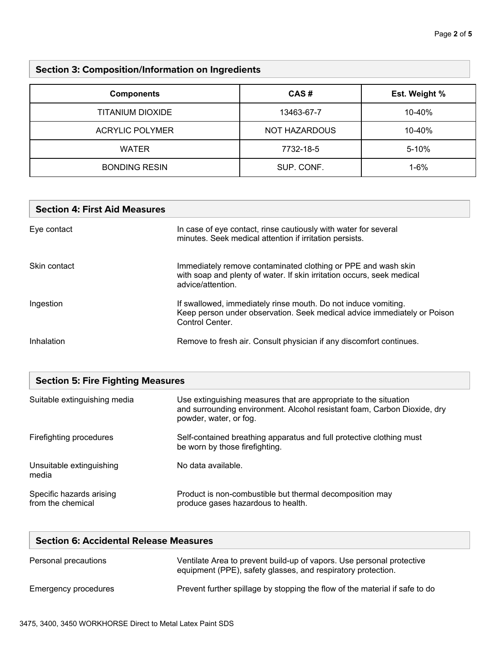# **Section 3: Composition/Information on Ingredients**

| <b>Components</b>      | CAS#          | Est. Weight % |
|------------------------|---------------|---------------|
| TITANIUM DIOXIDE       | 13463-67-7    | 10-40%        |
| <b>ACRYLIC POLYMER</b> | NOT HAZARDOUS | 10-40%        |
| <b>WATER</b>           | 7732-18-5     | $5 - 10%$     |
| <b>BONDING RESIN</b>   | SUP. CONF.    | $1 - 6%$      |

| <b>Section 4: First Aid Measures</b> |                                                                                                                                                               |
|--------------------------------------|---------------------------------------------------------------------------------------------------------------------------------------------------------------|
| Eye contact                          | In case of eye contact, rinse cautiously with water for several<br>minutes. Seek medical attention if irritation persists.                                    |
| Skin contact                         | Immediately remove contaminated clothing or PPE and wash skin<br>with soap and plenty of water. If skin irritation occurs, seek medical<br>advice/attention.  |
| Ingestion                            | If swallowed, immediately rinse mouth. Do not induce vomiting.<br>Keep person under observation. Seek medical advice immediately or Poison<br>Control Center. |
| Inhalation                           | Remove to fresh air. Consult physician if any discomfort continues.                                                                                           |

| <b>Section 5: Fire Fighting Measures</b>      |                                                                                                                                                                        |  |
|-----------------------------------------------|------------------------------------------------------------------------------------------------------------------------------------------------------------------------|--|
| Suitable extinguishing media                  | Use extinguishing measures that are appropriate to the situation<br>and surrounding environment. Alcohol resistant foam, Carbon Dioxide, dry<br>powder, water, or fog. |  |
| Firefighting procedures                       | Self-contained breathing apparatus and full protective clothing must<br>be worn by those firefighting.                                                                 |  |
| Unsuitable extinguishing<br>media             | No data available.                                                                                                                                                     |  |
| Specific hazards arising<br>from the chemical | Product is non-combustible but thermal decomposition may<br>produce gases hazardous to health.                                                                         |  |

| <b>Section 6: Accidental Release Measures</b> |                                                                                                                                       |
|-----------------------------------------------|---------------------------------------------------------------------------------------------------------------------------------------|
| Personal precautions                          | Ventilate Area to prevent build-up of vapors. Use personal protective<br>equipment (PPE), safety glasses, and respiratory protection. |
| Emergency procedures                          | Prevent further spillage by stopping the flow of the material if safe to do                                                           |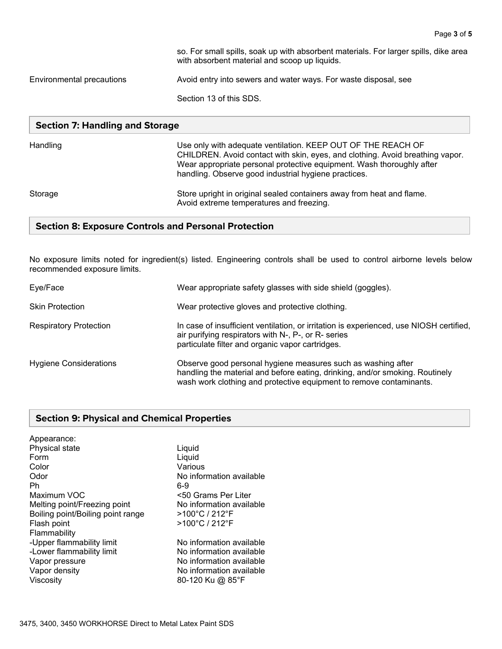so. For small spills, soak up with absorbent materials. For larger spills, dike area with absorbent material and scoop up liquids. Environmental precautions Avoid entry into sewers and water ways. For waste disposal, see Section 13 of this SDS.

#### **Section 7: Handling and Storage**

| Handling | Use only with adequate ventilation. KEEP OUT OF THE REACH OF<br>CHILDREN. Avoid contact with skin, eyes, and clothing. Avoid breathing vapor.<br>Wear appropriate personal protective equipment. Wash thoroughly after<br>handling. Observe good industrial hygiene practices. |
|----------|--------------------------------------------------------------------------------------------------------------------------------------------------------------------------------------------------------------------------------------------------------------------------------|
| Storage  | Store upright in original sealed containers away from heat and flame.<br>Avoid extreme temperatures and freezing.                                                                                                                                                              |

#### **Section 8: Exposure Controls and Personal Protection**

No exposure limits noted for ingredient(s) listed. Engineering controls shall be used to control airborne levels below recommended exposure limits.

| Eye/Face                      | Wear appropriate safety glasses with side shield (goggles).                                                                                                                                                         |
|-------------------------------|---------------------------------------------------------------------------------------------------------------------------------------------------------------------------------------------------------------------|
| <b>Skin Protection</b>        | Wear protective gloves and protective clothing.                                                                                                                                                                     |
| <b>Respiratory Protection</b> | In case of insufficient ventilation, or irritation is experienced, use NIOSH certified,<br>air purifying respirators with N-, P-, or R- series<br>particulate filter and organic vapor cartridges.                  |
| <b>Hygiene Considerations</b> | Observe good personal hygiene measures such as washing after<br>handling the material and before eating, drinking, and/or smoking. Routinely<br>wash work clothing and protective equipment to remove contaminants. |

#### **Section 9: Physical and Chemical Properties**

| Appearance:<br>Physical state<br>Form<br>Color<br>Odor<br>Ph<br>Maximum VOC | Liquid<br>Liquid<br>Various<br>No information available<br>6-9<br><50 Grams Per Liter |
|-----------------------------------------------------------------------------|---------------------------------------------------------------------------------------|
| Melting point/Freezing point                                                | No information available                                                              |
| Boiling point/Boiling point range                                           | $>100^{\circ}$ C / 212 $^{\circ}$ F                                                   |
| Flash point                                                                 | >100°C / 212°F                                                                        |
| Flammability                                                                |                                                                                       |
| -Upper flammability limit                                                   | No information available                                                              |
| -Lower flammability limit                                                   | No information available                                                              |
| Vapor pressure                                                              | No information available                                                              |
| Vapor density                                                               | No information available                                                              |
| Viscosity                                                                   | 80-120 Ku @ 85°F                                                                      |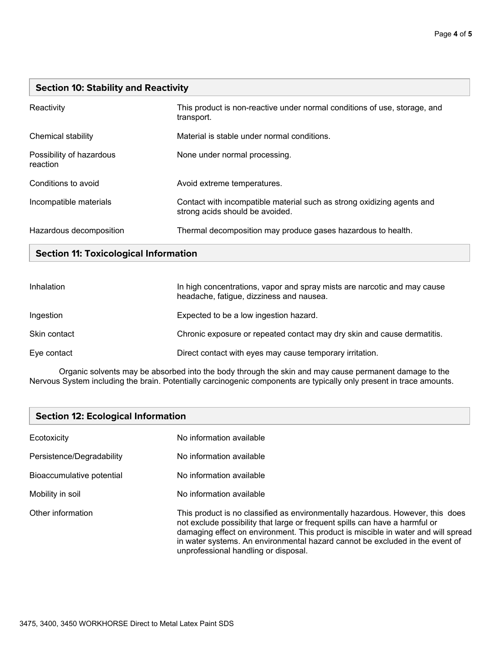### **Section 10: Stability and Reactivity**

| Reactivity                           | This product is non-reactive under normal conditions of use, storage, and<br>transport.                   |
|--------------------------------------|-----------------------------------------------------------------------------------------------------------|
| Chemical stability                   | Material is stable under normal conditions.                                                               |
| Possibility of hazardous<br>reaction | None under normal processing.                                                                             |
| Conditions to avoid                  | Avoid extreme temperatures.                                                                               |
| Incompatible materials               | Contact with incompatible material such as strong oxidizing agents and<br>strong acids should be avoided. |
| Hazardous decomposition              | Thermal decomposition may produce gases hazardous to health.                                              |

# **Section 11: Toxicological Information**

| Inhalation   | In high concentrations, vapor and spray mists are narcotic and may cause<br>headache, fatigue, dizziness and nausea. |
|--------------|----------------------------------------------------------------------------------------------------------------------|
| Ingestion    | Expected to be a low ingestion hazard.                                                                               |
| Skin contact | Chronic exposure or repeated contact may dry skin and cause dermatitis.                                              |
| Eye contact  | Direct contact with eyes may cause temporary irritation.                                                             |

Organic solvents may be absorbed into the body through the skin and may cause permanent damage to the Nervous System including the brain. Potentially carcinogenic components are typically only present in trace amounts.

## **Section 12: Ecological Information**

| Ecotoxicity               | No information available                                                                                                                                                                                                                                                                                                                                                   |
|---------------------------|----------------------------------------------------------------------------------------------------------------------------------------------------------------------------------------------------------------------------------------------------------------------------------------------------------------------------------------------------------------------------|
| Persistence/Degradability | No information available                                                                                                                                                                                                                                                                                                                                                   |
| Bioaccumulative potential | No information available                                                                                                                                                                                                                                                                                                                                                   |
| Mobility in soil          | No information available                                                                                                                                                                                                                                                                                                                                                   |
| Other information         | This product is no classified as environmentally hazardous. However, this does<br>not exclude possibility that large or frequent spills can have a harmful or<br>damaging effect on environment. This product is miscible in water and will spread<br>in water systems. An environmental hazard cannot be excluded in the event of<br>unprofessional handling or disposal. |